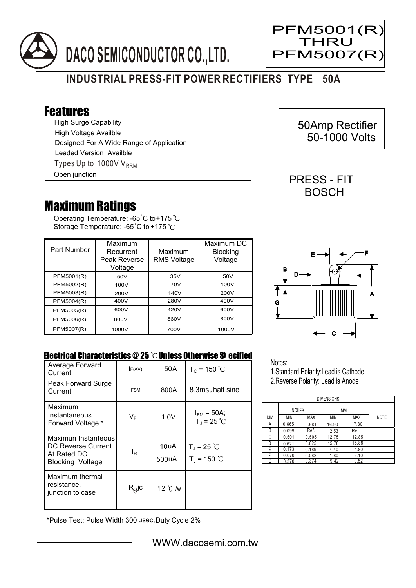



## Features

High Surge Capability Types Up to 1000V  $V_{RRM}$ High Voltage Availble Designed For A Wide Range of Application Leaded Version Availble Open junction

## Maximum Ratings

Operating Temperature: -65 C to +175 Storage Temperature: -65<sup>°</sup>C to +175<sup>°</sup>C

| Part Number | Maximum<br>Recurrent<br>Peak Reverse<br>Voltage | Maximum<br><b>RMS Voltage</b> | Maximum DC<br><b>Blocking</b><br>Voltage |
|-------------|-------------------------------------------------|-------------------------------|------------------------------------------|
| PFM5001(R)  | 50V                                             | 35V                           | 50V                                      |
| PFM5002(R)  | 100V                                            | 70V                           | 100V                                     |
| PFM5003(R)  | 200V                                            | 140V                          | 200V                                     |
| PFM5004(R)  | 400V                                            | 280V                          | 400V                                     |
| PFM5005(R)  | 600V                                            | 420V                          | 600V                                     |
| PFM5006(R)  | 800V                                            | 560V                          | 800V                                     |
| PFM5007(R)  | 1000V                                           | 700V                          | 1000V                                    |



## Electrical Characteristics  $@25$   $^{\circ}$ C Unless Otherwise  $$9$  ecified

| Average Forward<br>Current                                                   | F(AV)                      | 50 A               | $T_c = 150 °C$                          |
|------------------------------------------------------------------------------|----------------------------|--------------------|-----------------------------------------|
| Peak Forward Surge<br>Current                                                | <b>IFSM</b>                | 800A               | 8.3ms, half sine                        |
| Maximum<br>Instantaneous<br>Forward Voltage *                                | $V_F$                      | 1.0V               | $I_{FM}$ = 50A;<br>$T_{J}$ = 25 °C      |
| Maximun Instanteous<br>DC Reverse Current<br>At Rated DC<br>Blocking Voltage | lŖ                         | 10uA<br>500uA      | $T_{J}$ = 25 °C<br>$T_{\rm J}$ = 150 °C |
| Maximum thermal<br>resistance,<br>junction to case                           | $\mathsf{R}^\mathsf{Q}$ lc | 1.2 $\degree$ C /w |                                         |

\*Pulse Test: Pulse Width 300 usec,Duty Cycle 2%

Notes:

1.Standard Polarity:Lead is Cathode 2.Reverse Polarity: Lead is Anode

| <b>DIMENSIONS</b> |               |       |       |            |             |  |  |
|-------------------|---------------|-------|-------|------------|-------------|--|--|
|                   | <b>INCHES</b> |       | МM    |            |             |  |  |
| DIM               | <b>MIN</b>    | MAX   | MIN   | <b>MAX</b> | <b>NOTE</b> |  |  |
| А                 | 0.665         | 0.681 | 16.90 | 17.30      |             |  |  |
| В                 | 0.099         | Ref.  | 2.53  | Ref.       |             |  |  |
| C                 | 0.501         | 0.505 | 12.75 | 12.85      |             |  |  |
| D                 | 0.621         | 0.625 | 15.78 | 15.88      |             |  |  |
| E                 | 0.173         | 0.189 | 4.40  | 4.80       |             |  |  |
| F                 | 0.070         | 0.082 | 1.80  | 2.10       |             |  |  |
| G                 | 0.370         | 0.374 | 9.42  | 9.52       |             |  |  |

 50Amp Rectifier 50-1000 Volts

PFM5001(R) **THRU** 

**PFM5007(F** 

Ξ

PRESS - FIT **BOSCH**